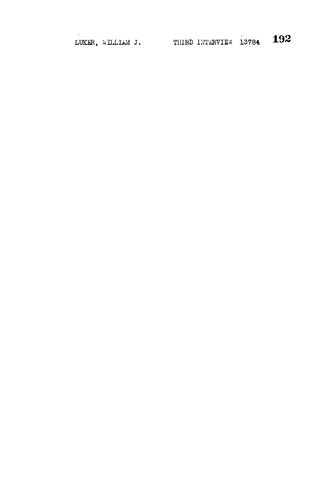LUKER, WILLIAM J. THIRD INTERVIEW 13784 192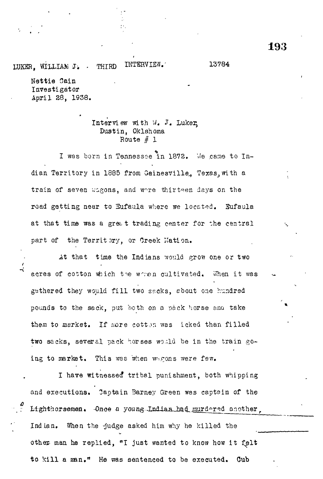LUKBR, WILLIAK *J:* - THIRD INTERVIEW.' 13784

Nettie Sain Investigator April 28, 1938.

 $\frac{1}{2}$ 

## Interview with *\1,* J. Luker> Dustin, Oklahoma Route *§* 1

I was born in Tennessee in 1872. *\le* .came to Indian Territory in 1885 from Gainesville, Texas, with a train of seven wigons, and wore thirteen days on the road getting near to Sufaula where we located. Sufaula at that time was a great trading center for the central part of the Territory, or Greek Nation.

At that time the Indians would grow one or two acres of cotton which the which cultivated. When it was gathered they would fill two sacks, about one hundred pounds to the sack, put both on a pack horse and take them to market. If more cotton was icked than filled two sacks, several pack horses would be in the train going to market. This was when wagons were few.

I have witnessed tribal punishment, both whipping and executions. Oaptain Barney Green was captsin of the Lighthorsemen. -Once a young-Indian had murdered another Indian. When the -judge asked him why he killed the man he replied, "I just wanted to know how it felt to kill a man." He was sentenced to be executed. Cub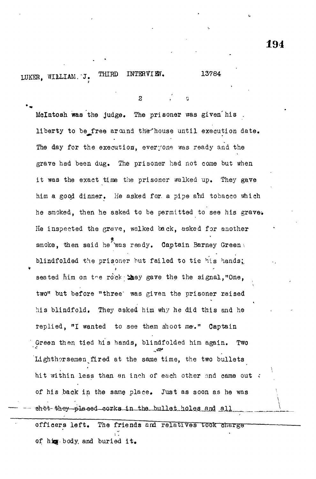LUKER, WILLIAM.J. THIRD INTERVIEW. 13784

3 / o

Mclntoah **was** the judge. The prisoner was given'his . liberty to be\_free around the house until execution date. The day for the execution, everyone was ready and the grave had been dug. The prisoner had not come but when it was the exact time the prisoner walked up. They gave him a good dinner. He asked for. a pipe ahd tobacco which he smoked, then he asked to be permitted to see his grave. He inspected the grave, walked back, asked for another smoke, then said he was ready. Captain Barney Green blindfolded the prisoner but failed to tie his hands; seated him on the rock **they** gave the the signal, "One, two" but before "three' was given the prisoner raised his blindfold. They asked him why he did this and he replied, *<sup>n</sup>l* wanted to see them shoot me-." Captain Green then tied his hands, blindfolded him again. Two Lighthorsemen fired at the same time, the two bullets hit within less than an inch of each other and came out  $\cdot$ of his back in the same place. Just as soon as he was shot they placed corks in the bullet holes and all The friends and relatives took charge officers left.

of **hjqf-**body, and buried it,